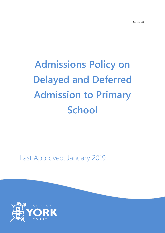# **Admissions Policy on Delayed and Deferred Admission to Primary School**

Last Approved: January 2019

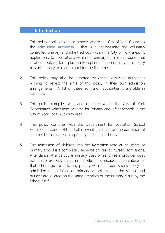#### **Introduction**

- 1 This policy applies to those schools where the City of York Council is the **admission authority** – that is all community and voluntary controlled primary and infant schools within the City of York area. It applies only to applications within the primary admissions round, that is when applying for a place in Reception as the normal year of entry to start primary or infant school for the first time.
- 2 This policy may also be adopted by other admission authorities wishing to reflect the aims of this policy in their own admission arrangements. A list of these admission authorities is available in Section J.
- 3 This policy complies with and operates within the City of York Coordinated Admissions Scheme for Primary and Infant Schools in the City of York Local Authority area.
- 4 This policy complies with the Department for Education School Admissions Code 2014 and all relevant guidance on the admission of summer born children into primary and infant schools.
- 5 The admission of children into the Reception year at an infant or primary school is a completely separate process to nursery admissions. Attendance at a particular nursery class or early years provider does not, unless explicitly stated in the relevant oversubscription criteria for that school, give a child any priority within the admissions policy for admission to an infant or primary school, even if the school and nursery are located on the same premises or the nursery is run by the school itself.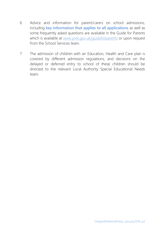- 6 Advice and information for parent/carers on school admissions, including **key information that applies to all applications** as well as some frequently asked questions are available in the Guide for Parents which is available at [www.york.gov.uk/guideforparents](http://www.york.gov.uk/guideforparents) or upon request from the School Services team.
- 7 The admission of children with an Education, Health and Care plan is covered by different admission regulations, and decisions on the delayed or deferred entry to school of these children should be directed to the relevant Local Authority Special Educational Needs team.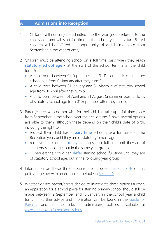## **A Admissions into Reception**

- 1 Children will normally be admitted into the year group relevant to the child's age and will start full-time in the school year they turn 5. All children will be offered the opportunity of a full time place from September in the year of entry.
- 2 Children must be attending school on a full time basis when they reach **statutory school age** - at the start of the school term after the child turns 5.
	- A child born between 01 September and 31 December is of statutory school age from 01 January after they turn 5.
	- A child born between 01 January and 31 March is of statutory school age from 01 April after they turn 5.
	- A child born between 01 April and 31 August (a summer born child) is of statutory school age from 01 September after they turn 5.
- 3 Parent/carers who do not wish for their child to take up a full time place from September in the school year their child turns 5 have several options available to them, although these depend on their child's date of birth, including the right to:
	- request their child has a **part time** school place for some of the Reception year, until they are of statutory school age
	- request their child can **delay** starting school full-time until they are of statutory school age, but in the same year group
	- request their child can **defer** starting school full-time until they are of statutory school age, but in the following year group
- 4 Information on these three options are included [Sections C-E](#page-5-0) of this policy, together with an example timetable in [Section G.](#page-11-0)
- 5 Whether or not parent/carers decide to investigate these options further, an application for a school place for starting primary school should still be made between 12 September and 15 January in the school year a child turns 4. Further advice and information can be found in the [Guide for](http://www.york.gov.uk/guideforparents)  [Parents](http://www.york.gov.uk/guideforparents) and in the relevant admissions policies, available at [www.york.gov.uk/schooladmissions](http://www.york.gov.uk/schooladmissions)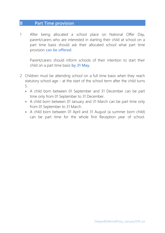#### <span id="page-4-0"></span>**B Part Time provision**

1 After being allocated a school place on National Offer Day, parent/carers who are interested in starting their child at school on a part time basis should ask their allocated school what part time provision **can be offered**.

Parent/carers should inform schools of their intention to start their child on a part time basis **by 31 May**.

- 2 Children must be attending school on a full time basis when they reach statutory school age - at the start of the school term after the child turns 5.
	- A child born between 01 September and 31 December can be part time only from 01 September to 31 December.
	- A child born between 01 January and 31 March can be part time only from 01 September to 31 March.
	- A child born between 01 April and 31 August (a summer born child) can be part time for the whole first Reception year of school.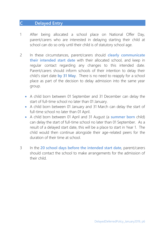## <span id="page-5-0"></span>**C Delayed Entry**

- 1 After being allocated a school place on National Offer Day, parent/carers who are interested in delaying starting their child at school can do so only until their child is of statutory school age.
- 2 In these circumstances, parent/carers should **clearly communicate their intended start date** with their allocated school, and keep in regular contact regarding any changes to this intended date. Parent/carers should inform schools of their intention to delay their child's start date **by 31 May**. There is no need to reapply for a school place as part of the decision to delay admission into the same year group.
	- A child born between 01 September and 31 December can delay the start of full-time school no later than 01 January.
	- A child born between 01 January and 31 March can delay the start of full-time school no later than 01 April.
	- A child born between 01 April and 31 August (a **summer born** child) can delay the start of full-time school no later than 01 September. As a result of a delayed start date, this will be a place to start in Year 1. The child would then continue alongside their age-related peers for the duration of their time at school.
- 3 In the **20 school days before the intended start date**, parent/carers should contact the school to make arrangements for the admission of their child.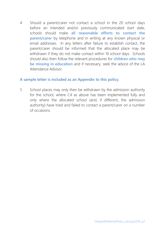4 Should a parent/carer not contact a school in the 20 school days before an intended and/or previously communicated start date, schools should make **all reasonable efforts to contact the parent/carer** by telephone and in writing at any known physical or email addresses. In any letters after failure to establish contact, the parent/carer should be informed that the allocated place may be withdrawn if they do not make contact within 10 school days. Schools should also then follow the relevant procedures for **children who may be missing in education** and if necessary, seek the advice of the LA Attendance Advisor.

#### **A sample letter is included as an Appendix to this policy.**

5 School places may only then be withdrawn by the admission authority for the school, where C4 as above has been implemented fully and only where the allocated school (and, if different, the admission authority) have tried and failed to contact a parent/carer on a number of occasions.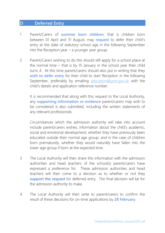#### **D Deferred Entry**

- 1 Parent/Carers of **summer born children**, that is children born between 01 April and 31 August, may **request** to defer their child's entry at the date of statutory school age in the following September into the Reception year – a younger year group.
- 2 Parent/Carers wishing to do this should still apply for a school place at the normal time – that is by 15 January in the school year their child turns 4. At this time parent/carers should also put in writing that they **wish to defer entry** for their child to start Reception in the following September, preferably by emailing [education@york.gov.uk](mailto:education@york.gov.uk) with the child's details and application reference number.

It is recommended that along with this request to the Local Authority, any **supporting information or evidence** parent/carers may wish to be considered is also submitted, including the written statements of any relevant professionals.

Circumstances which the admission authority will take into account include parent/carers wishes; information about the child's academic, social and emotional development; whether they have previously been educated outside their normal age group; and in the case of children born prematurely, whether they would naturally have fallen into the lower age group if born at the expected time.

- 3 The Local Authority will then share this information with the admission authorities and head teachers of the school(s) parent/carers have expressed a preference for. These admission authorities and head teachers will then come to a decision as to whether or not they **support the request** for deferred entry. The final decision will be for the admission authority to make.
- 4 The Local Authority will then write to parent/carers to confirm the result of these decisions for on-time applications by **28 February**.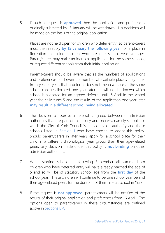5 If such a request is **approved** then the application and preferences originally submitted by 15 January will be withdrawn. No decisions will be made on the basis of the original application.

Places are not held open for children who defer entry, so parent/carers must then reapply **by 15 January the following year** for a place in Reception alongside children who are one school year younger. Parent/carers may make an identical application for the same schools, or request different schools from their initial application.

Parents/carers should be aware that as the numbers of applications and preferences, and even the number of available places, may differ from year to year, that a deferral does not mean a place at the same school can be allocated one year later. It will not be known which school is allocated for an agreed deferral until 16 April in the school year the child turns 5 and the results of the application one year later **may result in a different school being allocated**.

- 6 The decision to approve a deferral is agreed between all admission authorities that are part of this policy and process, namely schools for which the City of York Council is the admission authority and those schools listed in **Section J** who have chosen to adopt this policy. Should parent/carers in later years apply for a school place for their child in a different chronological year group than their age-related peers, any decision made under this policy is **not binding** on other admission authorities.
- 7 When starting school the following September all summer-born children who have deferred entry will have already reached the age of 5 and so will be of statutory school age from the **first day** of the school year. These children will continue to be one school year behind their age-related peers for the duration of their time at school in York.
- 8 If the request is **not approved**, parent carers will be notified of the results of their original application and preferences from 16 April. The options open to parent/carers in these circumstances are outlined above in [Sections B-C.](#page-4-0)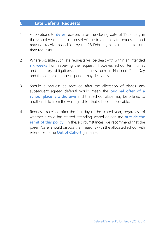## **E Late Deferral Requests**

- 1 Applications to **defer** received after the closing date of 15 January in the school year the child turns 4 will be treated as late requests – and may not receive a decision by the 28 February as is intended for ontime requests.
- 2 Where possible such late requests will be dealt with within an intended **six weeks** from receiving the request. However, school term times and statutory obligations and deadlines such as National Offer Day and the admission appeals period may delay this.
- 3 Should a request be received after the allocation of places, any subsequent agreed deferral would mean the **original offer of a school place is withdrawn** and that school place may be offered to another child from the waiting list for that school if applicable.
- 4 Requests received after the first day of the school year, regardless of whether a child has started attending school or not, are **outside the remit of this policy**. In these circumstances, we recommend that the parent/carer should discuss their reasons with the allocated school with reference to the **Out of Cohort** guidance.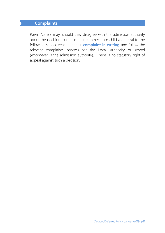## **F Complaints**

Parent/carers may, should they disagree with the admission authority about the decision to refuse their summer born child a deferral to the following school year, put their **complaint in writing** and follow the relevant complaints process for the Local Authority or school (whomever is the admission authority). There is no statutory right of appeal against such a decision.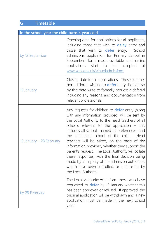# <span id="page-11-0"></span>**G Timetable**

| In the school year the child turns 4 years old |                                                                                                                                                                                                                                                                                                                                                                                                                                                                                                                                                                                                                                             |  |
|------------------------------------------------|---------------------------------------------------------------------------------------------------------------------------------------------------------------------------------------------------------------------------------------------------------------------------------------------------------------------------------------------------------------------------------------------------------------------------------------------------------------------------------------------------------------------------------------------------------------------------------------------------------------------------------------------|--|
| by 12 September                                | Opening date for applications for all applicants,<br>including those that wish to <b>delay</b> entry and<br>those that wish to <b>defer</b> entry. 'School<br>admissions application for Primary School in<br>September' form made available and online<br>applications start to be accepted<br>at<br>www.york.gov.uk/schooladmissions                                                                                                                                                                                                                                                                                                      |  |
| 15 January                                     | Closing date for all applications. Those summer<br>born children wishing to <b>defer</b> entry should also<br>by this date write to formally request a deferral<br>including any reasons, and documentation from<br>relevant professionals.                                                                                                                                                                                                                                                                                                                                                                                                 |  |
| 15 January – 28 February                       | Any requests for children to <b>defer</b> entry (along<br>with any information provided) will be sent by<br>the Local Authority to the head teachers of all<br>schools relevant to the application - this<br>includes all schools named as preferences, and<br>the catchment school of the child. Head<br>teachers will be asked, on the basis of the<br>information provided, whether they support the<br>parent's request. The Local Authority will collate<br>these responses, with the final decision being<br>made by a majority of the admission authorities<br>whom have been consulted, or if these tie, by<br>the Local Authority. |  |
| by 28 February                                 | The Local Authority will inform those who have<br>requested to <b>defer</b> by 15 January whether this<br>has been approved or refused. If approved, the<br>original application will be withdrawn and a new<br>application must be made in the next school<br>year.                                                                                                                                                                                                                                                                                                                                                                        |  |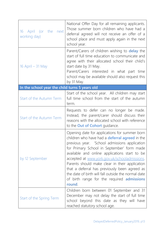| April (or the<br>16<br>next<br>working day)    | National Offer Day for all remaining applicants.<br>Those summer born children who have had a<br>deferral agreed will not receive an offer of a<br>school place and must apply again in the next<br>school year.                                                                                                                                                                                                                                                                                                          |  |
|------------------------------------------------|---------------------------------------------------------------------------------------------------------------------------------------------------------------------------------------------------------------------------------------------------------------------------------------------------------------------------------------------------------------------------------------------------------------------------------------------------------------------------------------------------------------------------|--|
| 16 April – 31 May                              | Parent/Carers of children wishing to <b>delay</b> the<br>start of full time education to communicate and<br>agree with their allocated school their child's<br>start date by 31 May.<br>Parent/Carers interested in what part time<br>school may be available should also request this<br>by 31 May.                                                                                                                                                                                                                      |  |
| In the school year the child turns 5 years old |                                                                                                                                                                                                                                                                                                                                                                                                                                                                                                                           |  |
| Start of the Autumn Term                       | Start of the school year. All children may start<br>full time school from the start of the autumn<br>term.                                                                                                                                                                                                                                                                                                                                                                                                                |  |
| Start of the Autumn Term                       | Requests to defer can no longer be made.<br>Instead, the parent/carer should discuss their<br>reasons with the allocated school with reference<br>to the <b>Out of Cohort</b> guidance.                                                                                                                                                                                                                                                                                                                                   |  |
| by 12 September                                | Opening date for applications for summer born<br>children who have had a <b>deferral agreed</b> in the<br>previous year. 'School admissions application<br>for Primary School in September' form made<br>available and online applications start to be<br>accepted at www.york.gov.uk/schooladmissions.<br>Parents should make clear in their application<br>that a deferral has previously been agreed as<br>the date of birth will fall outside the normal date<br>of birth range for the required admissions<br>round. |  |
| Start of the Spring Term                       | Children born between 01 September and 31<br>December may not delay the start of full time<br>school beyond this date as they will have<br>reached statutory school age.                                                                                                                                                                                                                                                                                                                                                  |  |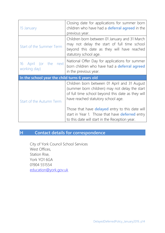| 15 January                                     | Closing date for applications for summer born<br>children who have had a <b>deferral agreed</b> in the<br>previous year.                                                                                                                                                                                                                                        |  |
|------------------------------------------------|-----------------------------------------------------------------------------------------------------------------------------------------------------------------------------------------------------------------------------------------------------------------------------------------------------------------------------------------------------------------|--|
| Start of the Summer Term                       | Children born between 01 January and 31 March<br>may not delay the start of full time school<br>beyond this date as they will have reached<br>statutory school age.                                                                                                                                                                                             |  |
| 16 April (or the<br>next<br>working day)       | National Offer Day for applications for summer<br>born children who have had a deferral agreed<br>in the previous year.                                                                                                                                                                                                                                         |  |
| In the school year the child turns 6 years old |                                                                                                                                                                                                                                                                                                                                                                 |  |
| Start of the Autumn Term                       | Children born between 01 April and 31 August<br>(summer born children) may not delay the start<br>of full time school beyond this date as they will<br>have reached statutory school age.<br>Those that have <b>delayed</b> entry to this date will<br>start in Year 1. Those that have <b>deferred</b> entry<br>to this date will start in the Reception year. |  |

# **H Contact details for correspondence**

City of York Council School Services West Offices, Station Rise, York YO1 6GA 01904 551554 [education@york.gov.uk](mailto:education@york.gov.uk)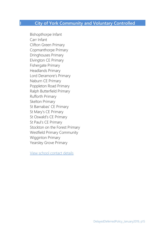# **I City of York Community and Voluntary Controlled**

Bishopthorpe Infant Carr Infant Clifton Green Primary Copmanthorpe Primary Dringhouses Primary Elvington CE Primary Fishergate Primary Headlands Primary Lord Deramore's Primary Naburn CE Primary Poppleton Road Primary Ralph Butterfield Primary Rufforth Primary Skelton Primary St Barnabas' CE Primary St Mary's CE Primary St Oswald's CE Primary St Paul's CE Primary Stockton on the Forest Primary Westfield Primary Community Wigginton Primary Yearsley Grove Primary

[View school contact details](https://www.york.gov.uk/info/20171/school_admissions/207/school_contact_details)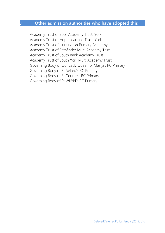## **J Other admission authorities who have adopted this**

Academy Trust of Ebor Academy Trust, York Academy Trust of Hope Learning Trust, York Academy Trust of Huntington Primary Academy Academy Trust of Pathfinder Multi Academy Trust Academy Trust of South Bank Academy Trust Academy Trust of South York Multi Academy Trust Governing Body of Our Lady Queen of Martyrs RC Primary Governing Body of St Aelred's RC Primary Governing Body of St George's RC Primary Governing Body of St Wilfrid's RC Primary